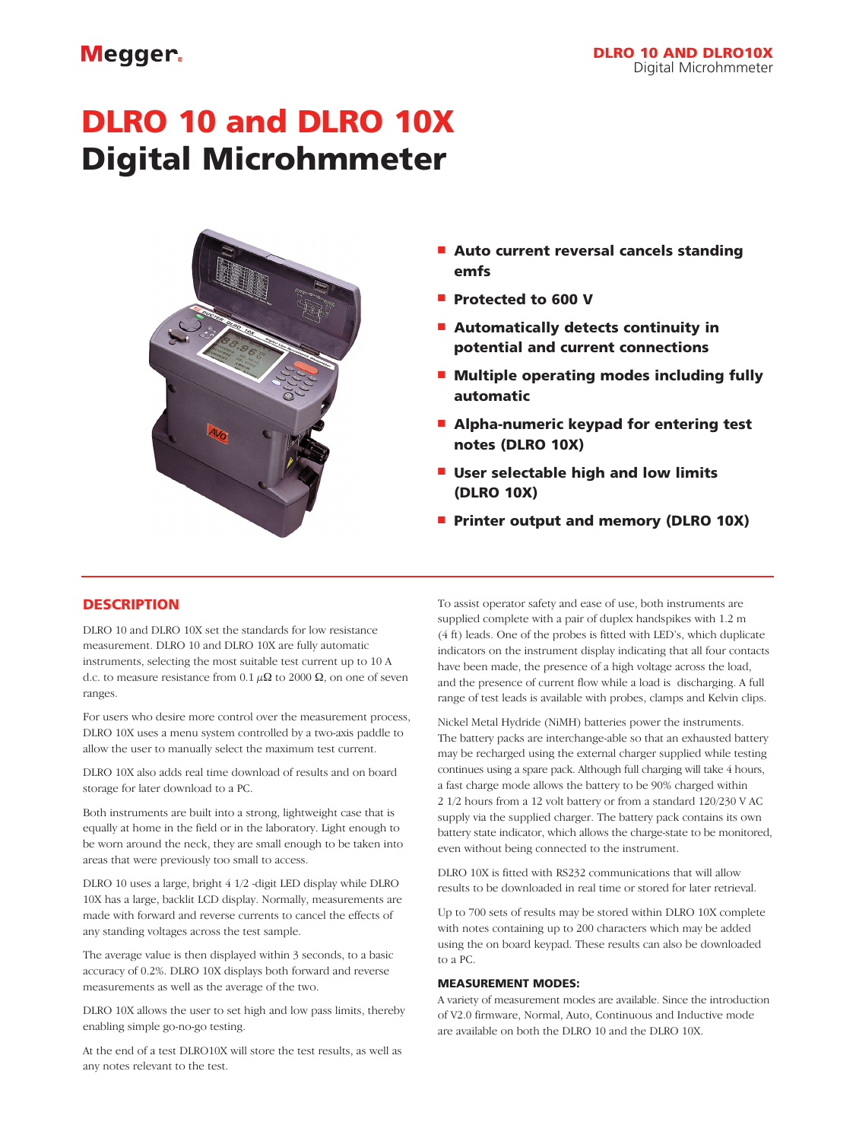## Megger.

# DLRO 10 and DLRO 10X Digital Microhmmeter



- **n** Auto current reversal cancels standing emfs
- **Protected to 600 V**
- $\blacksquare$  Automatically detects continuity in potential and current connections
- $\blacksquare$  Multiple operating modes including fully automatic
- $\blacksquare$  Alpha-numeric keypad for entering test notes (DLRO 10X)
- $\blacksquare$  User selectable high and low limits (DLRO 10X)
- **Printer output and memory (DLRO 10X)**

### **DESCRIPTION**

DLRO 10 and DLRO 10X set the standards for low resistance measurement. DLRO 10 and DLRO 10X are fully automatic instruments, selecting the most suitable test current up to 10 A d.c. to measure resistance from 0.1  $\mu\Omega$  to 2000  $\Omega$ , on one of seven ranges.

For users who desire more control over the measurement process, DLRO 10X uses a menu system controlled by a two-axis paddle to allow the user to manually select the maximum test current.

DLRO 10X also adds real time download of results and on board storage for later download to a PC.

Both instruments are built into a strong, lightweight case that is equally at home in the field or in the laboratory. Light enough to be worn around the neck, they are small enough to be taken into areas that were previously too small to access.

DLRO 10 uses a large, bright 4 1/2 -digit LED display while DLRO 10X has a large, backlit LCD display. Normally, measurements are made with forward and reverse currents to cancel the effects of any standing voltages across the test sample.

The average value is then displayed within 3 seconds, to a basic accuracy of 0.2%. DLRO 10X displays both forward and reverse measurements as well as the average of the two.

DLRO 10X allows the user to set high and low pass limits, thereby enabling simple go-no-go testing.

At the end of a test DLRO10X will store the test results, as well as any notes relevant to the test.

To assist operator safety and ease of use, both instruments are supplied complete with a pair of duplex handspikes with 1.2 m (4 ft) leads. One of the probes is fitted with LED's, which duplicate indicators on the instrument display indicating that all four contacts have been made, the presence of a high voltage across the load, and the presence of current flow while a load is discharging. A full range of test leads is available with probes, clamps and Kelvin clips.

Nickel Metal Hydride (NiMH) batteries power the instruments. The battery packs are interchange-able so that an exhausted battery may be recharged using the external charger supplied while testing continues using a spare pack. Although full charging will take 4 hours, a fast charge mode allows the battery to be 90% charged within 2 1/2 hours from a 12 volt battery or from a standard 120/230 V AC supply via the supplied charger. The battery pack contains its own battery state indicator, which allows the charge-state to be monitored, even without being connected to the instrument.

DLRO 10X is fitted with RS232 communications that will allow results to be downloaded in real time or stored for later retrieval.

Up to 700 sets of results may be stored within DLRO 10X complete with notes containing up to 200 characters which may be added using the on board keypad. These results can also be downloaded to a PC.

#### MEASUREMENT MODES:

A variety of measurement modes are available. Since the introduction of V2.0 firmware, Normal, Auto, Continuous and Inductive mode are available on both the DLRO 10 and the DLRO 10X.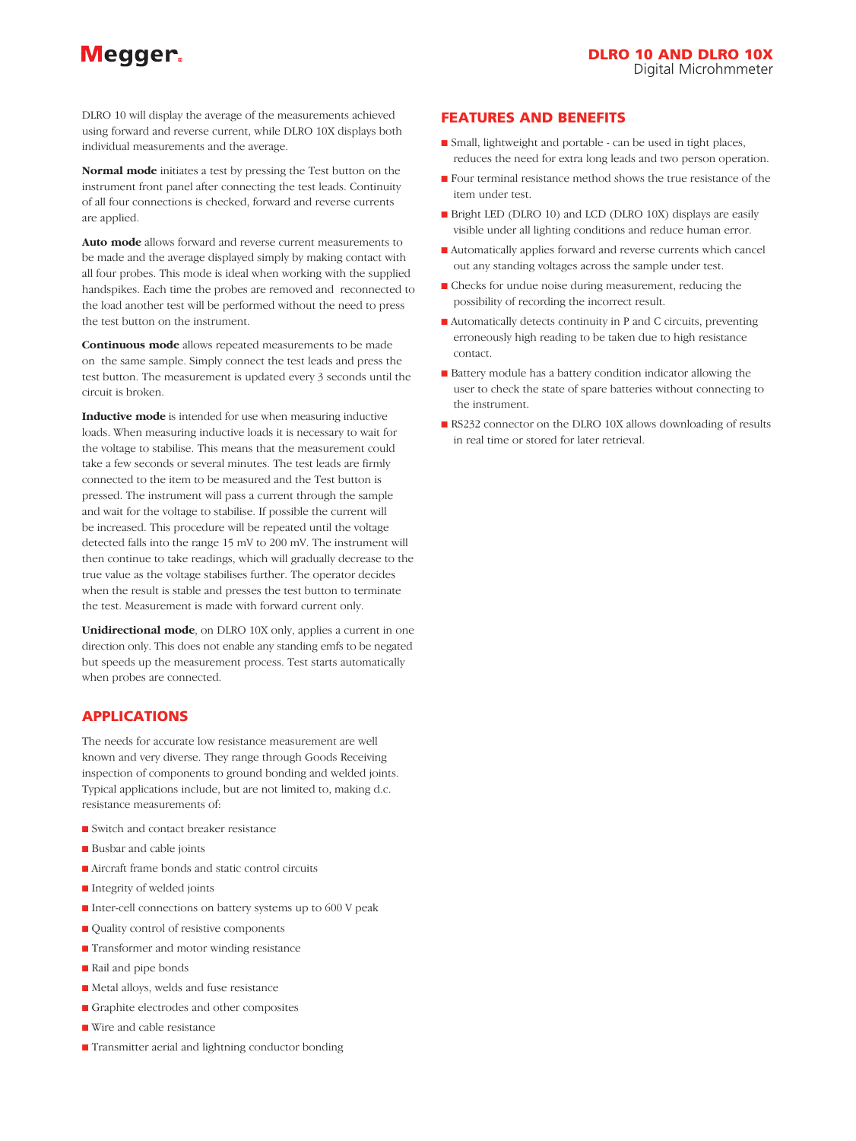# Megger.

DLRO 10 will display the average of the measurements achieved using forward and reverse current, while DLRO 10X displays both individual measurements and the average.

**Normal mode** initiates a test by pressing the Test button on the instrument front panel after connecting the test leads. Continuity of all four connections is checked, forward and reverse currents are applied.

**Auto mode** allows forward and reverse current measurements to be made and the average displayed simply by making contact with all four probes. This mode is ideal when working with the supplied handspikes. Each time the probes are removed and reconnected to the load another test will be performed without the need to press the test button on the instrument.

**Continuous mode** allows repeated measurements to be made on the same sample. Simply connect the test leads and press the test button. The measurement is updated every 3 seconds until the circuit is broken.

**Inductive mode** is intended for use when measuring inductive loads. When measuring inductive loads it is necessary to wait for the voltage to stabilise. This means that the measurement could take a few seconds or several minutes. The test leads are firmly connected to the item to be measured and the Test button is pressed. The instrument will pass a current through the sample and wait for the voltage to stabilise. If possible the current will be increased. This procedure will be repeated until the voltage detected falls into the range 15 mV to 200 mV. The instrument will then continue to take readings, which will gradually decrease to the true value as the voltage stabilises further. The operator decides when the result is stable and presses the test button to terminate the test. Measurement is made with forward current only.

**Unidirectional mode**, on DLRO 10X only, applies a current in one direction only. This does not enable any standing emfs to be negated but speeds up the measurement process. Test starts automatically when probes are connected.

#### APPLICATIONS

The needs for accurate low resistance measurement are well known and very diverse. They range through Goods Receiving inspection of components to ground bonding and welded joints. Typical applications include, but are not limited to, making d.c. resistance measurements of:

- Switch and contact breaker resistance
- Busbar and cable joints
- $\blacksquare$  Aircraft frame bonds and static control circuits
- Integrity of welded joints
- Inter-cell connections on battery systems up to 600 V peak
- $\blacksquare$  Quality control of resistive components
- Transformer and motor winding resistance
- Rail and pipe bonds
- n Metal alloys, welds and fuse resistance
- **n** Graphite electrodes and other composites
- Wire and cable resistance
- Transmitter aerial and lightning conductor bonding

#### FEATURES AND BENEFITS

- n Small, lightweight and portable can be used in tight places, reduces the need for extra long leads and two person operation.
- $\blacksquare$  Four terminal resistance method shows the true resistance of the item under test.
- **n** Bright LED (DLRO 10) and LCD (DLRO 10X) displays are easily visible under all lighting conditions and reduce human error.
- n Automatically applies forward and reverse currents which cancel out any standing voltages across the sample under test.
- n Checks for undue noise during measurement, reducing the possibility of recording the incorrect result.
- n Automatically detects continuity in P and C circuits, preventing erroneously high reading to be taken due to high resistance contact.
- Battery module has a battery condition indicator allowing the user to check the state of spare batteries without connecting to the instrument.
- RS232 connector on the DLRO 10X allows downloading of results in real time or stored for later retrieval.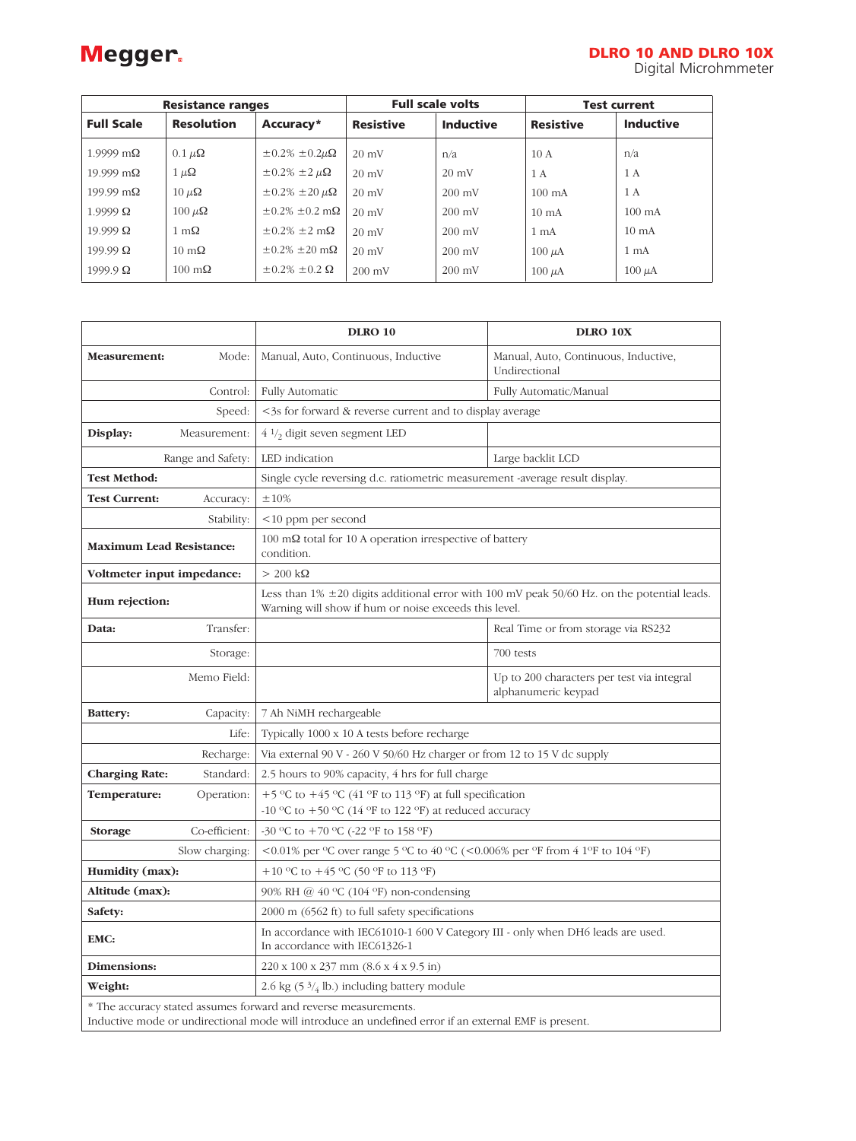# Megger.

| <b>Resistance ranges</b> |                       |                                     | <b>Full scale volts</b> |                  | <b>Test current</b> |                  |
|--------------------------|-----------------------|-------------------------------------|-------------------------|------------------|---------------------|------------------|
| <b>Full Scale</b>        | <b>Resolution</b>     | Accuracy*                           | <b>Resistive</b>        | <b>Inductive</b> | <b>Resistive</b>    | <b>Inductive</b> |
| $1.9999 \text{ m}\Omega$ | $0.1 \mu\Omega$       | $\pm 0.2\% \pm 0.2\mu\Omega$        | $20 \text{ mV}$         | n/a              | 10A                 | n/a              |
| $19.999 \text{ m}\Omega$ | $1 \mu \Omega$        | $\pm 0.2\%$ $\pm 2 \mu\Omega$       | $20 \text{ mV}$         | $20 \text{ mV}$  | 1 A                 | 1 A              |
| $199.99 \text{ m}\Omega$ | $10 \mu\Omega$        | $\pm 0.2\% \pm 20 \mu\Omega$        | $20 \text{ mV}$         | $200 \text{ mV}$ | $100 \text{ mA}$    | 1 A              |
| $1.9999 \Omega$          | $100 \mu\Omega$       | $\pm 0.2\% \pm 0.2 \text{ m}\Omega$ | $20 \text{ mV}$         | $200 \text{ mV}$ | $10 \text{ mA}$     | $100 \text{ mA}$ |
| $19.999 \Omega$          | $1 \text{ m}\Omega$   | $\pm 0.2\% \pm 2 \text{ m}\Omega$   | $20 \text{ mV}$         | $200 \text{ mV}$ | 1 <sub>m</sub> A    | $10 \text{ mA}$  |
| $199.99 \Omega$          | $10 \text{ m}\Omega$  | $\pm 0.2\% \pm 20$ m $\Omega$       | $20 \text{ mV}$         | $200 \text{ mV}$ | $100 \mu A$         | 1 <sub>mA</sub>  |
| $1999.9 \Omega$          | $100 \text{ m}\Omega$ | $\pm 0.2\% \pm 0.2 \Omega$          | $200 \text{ mV}$        | $200 \text{ mV}$ | $100 \mu A$         | $100 \mu A$      |

|                                    |       | <b>DLRO 10</b>                                                                                                                                                           | DLRO 10X                                                          |  |  |  |
|------------------------------------|-------|--------------------------------------------------------------------------------------------------------------------------------------------------------------------------|-------------------------------------------------------------------|--|--|--|
| Measurement:                       | Mode: | Manual, Auto, Continuous, Inductive                                                                                                                                      | Manual, Auto, Continuous, Inductive,<br>Undirectional             |  |  |  |
| Control:                           |       | <b>Fully Automatic</b>                                                                                                                                                   | Fully Automatic/Manual                                            |  |  |  |
| Speed:                             |       | <3s for forward & reverse current and to display average                                                                                                                 |                                                                   |  |  |  |
| Display:<br>Measurement:           |       | $4\frac{1}{2}$ digit seven segment LED                                                                                                                                   |                                                                   |  |  |  |
| Range and Safety:                  |       | LED indication                                                                                                                                                           | Large backlit LCD                                                 |  |  |  |
| <b>Test Method:</b>                |       | Single cycle reversing d.c. ratiometric measurement -average result display.                                                                                             |                                                                   |  |  |  |
| <b>Test Current:</b><br>Accuracy:  |       | $\pm10\%$                                                                                                                                                                |                                                                   |  |  |  |
| Stability:                         |       | $<10$ ppm per second                                                                                                                                                     |                                                                   |  |  |  |
| <b>Maximum Lead Resistance:</b>    |       | 100 m $\Omega$ total for 10 A operation irrespective of battery<br>condition.                                                                                            |                                                                   |  |  |  |
| Voltmeter input impedance:         |       | $> 200 \text{ k}\Omega$                                                                                                                                                  |                                                                   |  |  |  |
| Hum rejection:                     |       | Less than $1\% \pm 20$ digits additional error with 100 mV peak 50/60 Hz. on the potential leads.<br>Warning will show if hum or noise exceeds this level.               |                                                                   |  |  |  |
| Transfer:<br>Data:                 |       |                                                                                                                                                                          | Real Time or from storage via RS232                               |  |  |  |
| Storage:                           |       |                                                                                                                                                                          | 700 tests                                                         |  |  |  |
| Memo Field:                        |       |                                                                                                                                                                          | Up to 200 characters per test via integral<br>alphanumeric keypad |  |  |  |
| Battery:<br>Capacity:              |       | 7 Ah NiMH rechargeable                                                                                                                                                   |                                                                   |  |  |  |
|                                    | Life: | Typically 1000 x 10 A tests before recharge                                                                                                                              |                                                                   |  |  |  |
| Recharge:                          |       | Via external 90 V - 260 V 50/60 Hz charger or from 12 to 15 V dc supply                                                                                                  |                                                                   |  |  |  |
| <b>Charging Rate:</b><br>Standard: |       | 2.5 hours to 90% capacity, 4 hrs for full charge                                                                                                                         |                                                                   |  |  |  |
| Temperature:<br>Operation:         |       | +5 °C to +45 °C (41 °F to 113 °F) at full specification                                                                                                                  |                                                                   |  |  |  |
|                                    |       | -10 °C to +50 °C (14 °F to 122 °F) at reduced accuracy<br>-30 °C to +70 °C (-22 °F to 158 °F)                                                                            |                                                                   |  |  |  |
| Co-efficient:<br>Storage           |       | <0.01% per °C over range 5 °C to 40 °C (<0.006% per °F from 4 1°F to 104 °F)                                                                                             |                                                                   |  |  |  |
| Slow charging:                     |       | +10 °C to +45 °C (50 °F to 113 °F)                                                                                                                                       |                                                                   |  |  |  |
| Humidity (max):<br>Altitude (max): |       | 90% RH @ $40^{\circ}$ C (104 $^{\circ}$ F) non-condensing                                                                                                                |                                                                   |  |  |  |
| Safety:                            |       | 2000 m (6562 ft) to full safety specifications                                                                                                                           |                                                                   |  |  |  |
| EMC:                               |       | In accordance with IEC61010-1 600 V Category III - only when DH6 leads are used.<br>In accordance with IEC61326-1                                                        |                                                                   |  |  |  |
| Dimensions:                        |       | 220 x 100 x 237 mm (8.6 x 4 x 9.5 in)                                                                                                                                    |                                                                   |  |  |  |
| Weight:                            |       | 2.6 kg (5 $\frac{3}{4}$ lb.) including battery module                                                                                                                    |                                                                   |  |  |  |
|                                    |       | * The accuracy stated assumes forward and reverse measurements.<br>Inductive mode or undirectional mode will introduce an undefined error if an external EMF is present. |                                                                   |  |  |  |